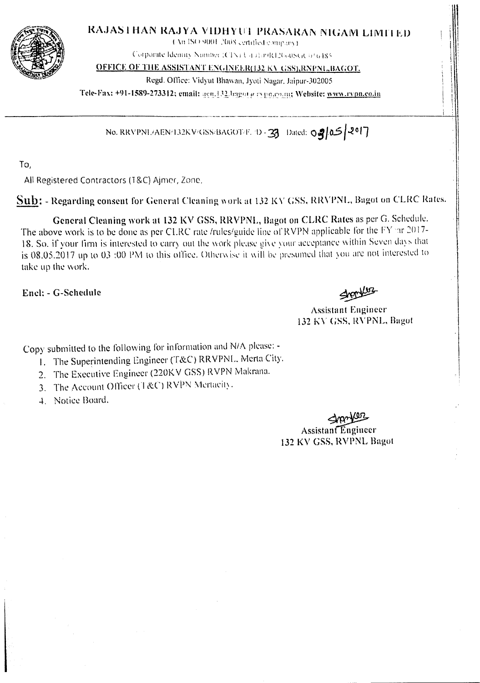

## RAJASTHAN RAJYA VIDHYUT PRASARAN NIGAM LIMITED

(An ISO 9001/2008 certified company).

Corporate Idemity Number (CIN) U40) antELIGOINER of 6485

**OFFICE OF THE ASSISTANT ENGINEER(132 KV GSS), RNPNL, BAGOT.** 

Regd. Office: Vidyut Bhawan, Jyoti Nagar, Jaipur-302005

Tele-Fax: +91-1589-273312; email: agn.132.bagot e cypo,co.m; Website: www.cypn.co.in

No. RRVPNL/AEN/132KV/GSS/BAGOT/F. D - 3 Dated: 02/05/2017

To,

All Registered Contractors (T&C) Ajmer, Zone,

Sub: - Regarding consent for General Cleaning work at 132 KV GSS, RRVPNL, Bagot on CLRC Rates.

General Cleaning work at 132 KV GSS, RRVPNL, Bagot on CLRC Rates as per G. Schedule. The above work is to be done as per CLRC rate *frules/guide* line of RVPN applicable for the  $FY$  ar  $2017-$ 18. So, if your firm is interested to carry out the work please give your acceptance within Seven days that is 08.05.2017 up to 03 :00 PM to this office. Otherwise it will be presumed that you are not interested to take up the work.

Encl: - G-Schedule

**Assistant Engineer** 132 KV GSS, RVPNL, Bagot

Copy submitted to the following for information and N/A please: -

- 1. The Superintending Engineer (T&C) RRVPNL, Merta City.
- 2. The Executive Engineer (220KV GSS) RVPN Makrana.
- 3. The Account Officer (T&C) RVPN Mertacity.
- 4. Notice Board.

**Assistant Engineer** 132 KV GSS, RVPNL Bagot